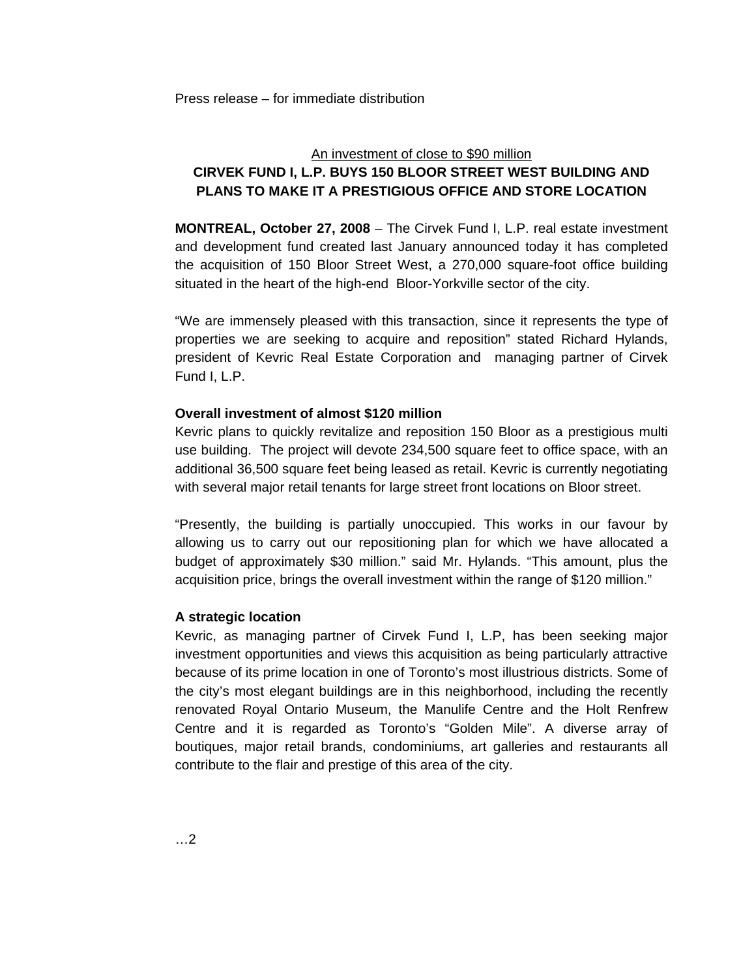# An investment of close to \$90 million **CIRVEK FUND I, L.P. BUYS 150 BLOOR STREET WEST BUILDING AND PLANS TO MAKE IT A PRESTIGIOUS OFFICE AND STORE LOCATION**

**MONTREAL, October 27, 2008** – The Cirvek Fund I, L.P. real estate investment and development fund created last January announced today it has completed the acquisition of 150 Bloor Street West, a 270,000 square-foot office building situated in the heart of the high-end Bloor-Yorkville sector of the city.

"We are immensely pleased with this transaction, since it represents the type of properties we are seeking to acquire and reposition" stated Richard Hylands, president of Kevric Real Estate Corporation and managing partner of Cirvek Fund I, L.P.

# **Overall investment of almost \$120 million**

Kevric plans to quickly revitalize and reposition 150 Bloor as a prestigious multi use building. The project will devote 234,500 square feet to office space, with an additional 36,500 square feet being leased as retail. Kevric is currently negotiating with several major retail tenants for large street front locations on Bloor street.

"Presently, the building is partially unoccupied. This works in our favour by allowing us to carry out our repositioning plan for which we have allocated a budget of approximately \$30 million." said Mr. Hylands. "This amount, plus the acquisition price, brings the overall investment within the range of \$120 million."

# **A strategic location**

Kevric, as managing partner of Cirvek Fund I, L.P, has been seeking major investment opportunities and views this acquisition as being particularly attractive because of its prime location in one of Toronto's most illustrious districts. Some of the city's most elegant buildings are in this neighborhood, including the recently renovated Royal Ontario Museum, the Manulife Centre and the Holt Renfrew Centre and it is regarded as Toronto's "Golden Mile". A diverse array of boutiques, major retail brands, condominiums, art galleries and restaurants all contribute to the flair and prestige of this area of the city.